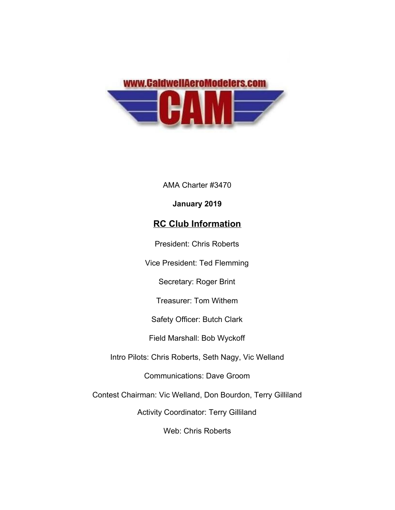

AMA Charter #3470

### **January 2019**

# **RC Club Information**

President: Chris Roberts

Vice President: Ted Flemming

Secretary: Roger Brint

Treasurer: Tom Withem

Safety Officer: Butch Clark

Field Marshall: Bob Wyckoff

Intro Pilots: Chris Roberts, Seth Nagy, Vic Welland

Communications: Dave Groom

Contest Chairman: Vic Welland, Don Bourdon, Terry Gilliland

Activity Coordinator: Terry Gilliland

Web: Chris Roberts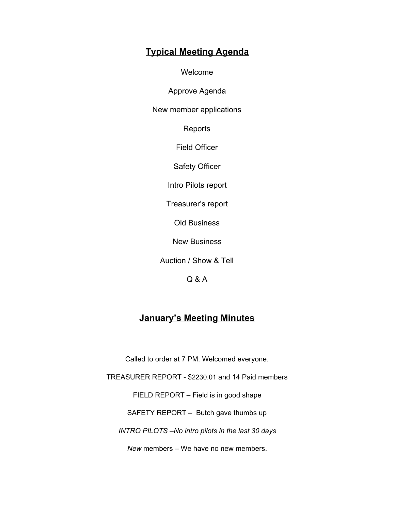# **Typical Meeting Agenda**

Welcome

Approve Agenda

New member applications

Reports

Field Officer

Safety Officer

Intro Pilots report

Treasurer's report

Old Business

New Business

Auction / Show & Tell

Q & A

## **January's Meeting Minutes**

Called to order at 7 PM. Welcomed everyone.

TREASURER REPORT - \$2230.01 and 14 Paid members

FIELD REPORT – Field is in good shape

SAFETY REPORT – Butch gave thumbs up

*INTRO PILOTS –No intro pilots in the last 30 days*

*New* members – We have no new members.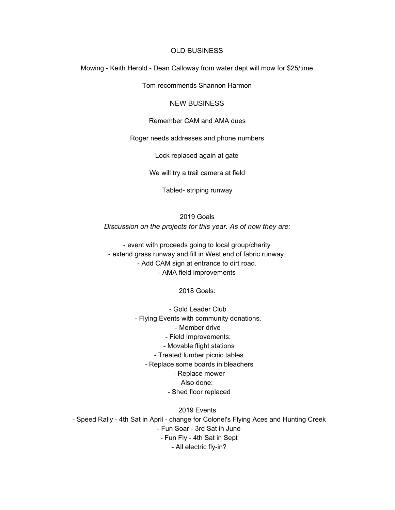### OLD BUSINESS

Mowing - Keith Herold - Dean Calloway from water dept will mow for \$25/time

Tom recommends Shannon Harmon

### NEW BUSINESS

#### Remember CAM and AMA dues

Roger needs addresses and phone numbers

Lock replaced again at gate

We will try a trail camera at field

Tabled- striping runway

2019 Goals *Discussion on the projects for this year. As of now they are:*

- event with proceeds going to local group/charity - extend grass runway and fill in West end of fabric runway. - Add CAM sign at entrance to dirt road. - AMA field improvements

2018 Goals:

 - Gold Leader Club - Flying Events with community donations. - Member drive - Field Improvements: - Movable flight stations - Treated lumber picnic tables - Replace some boards in bleachers - Replace mower Also done: - Shed floor replaced

2019 Events - Speed Rally - 4th Sat in April - change for Colonel's Flying Aces and Hunting Creek - Fun Soar - 3rd Sat in June - Fun Fly - 4th Sat in Sept - All electric fly-in?